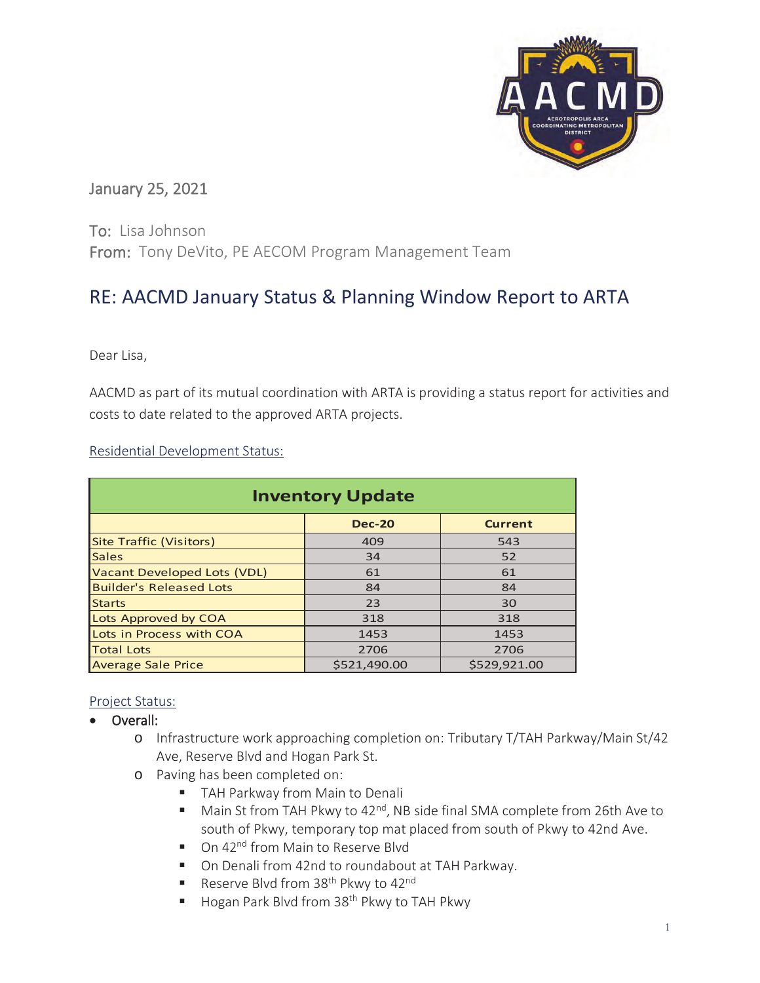

## January 25, 2021

To: Lisa Johnson From: Tony DeVito, PE AECOM Program Management Team

# RE: AACMD January Status & Planning Window Report to ARTA

Dear Lisa,

AACMD as part of its mutual coordination with ARTA is providing a status report for activities and costs to date related to the approved ARTA projects.

Residential Development Status:

| <b>Inventory Update</b>        |               |                |  |  |  |  |  |  |  |  |  |
|--------------------------------|---------------|----------------|--|--|--|--|--|--|--|--|--|
|                                | <b>Dec-20</b> | <b>Current</b> |  |  |  |  |  |  |  |  |  |
| Site Traffic (Visitors)        | 409           | 543            |  |  |  |  |  |  |  |  |  |
| <b>Sales</b>                   | 34            | 52             |  |  |  |  |  |  |  |  |  |
| Vacant Developed Lots (VDL)    | 61            | 61             |  |  |  |  |  |  |  |  |  |
| <b>Builder's Released Lots</b> | 84            | 84             |  |  |  |  |  |  |  |  |  |
| <b>Starts</b>                  | 23            | 30             |  |  |  |  |  |  |  |  |  |
| Lots Approved by COA           | 318           | 318            |  |  |  |  |  |  |  |  |  |
| Lots in Process with COA       | 1453          | 1453           |  |  |  |  |  |  |  |  |  |
| <b>Total Lots</b>              | 2706          | 2706           |  |  |  |  |  |  |  |  |  |
| <b>Average Sale Price</b>      | \$521.490.00  | \$529.921.00   |  |  |  |  |  |  |  |  |  |

### Project Status:

- Overall:
	- o Infrastructure work approaching completion on: Tributary T/TAH Parkway/Main St/42 Ave, Reserve Blvd and Hogan Park St.
	- o Paving has been completed on:
		- **TAH Parkway from Main to Denali**
		- $\blacksquare$  Main St from TAH Pkwy to 42<sup>nd</sup>, NB side final SMA complete from 26th Ave to south of Pkwy, temporary top mat placed from south of Pkwy to 42nd Ave.
		- On 42<sup>nd</sup> from Main to Reserve Blvd
		- On Denali from 42nd to roundabout at TAH Parkway.
		- Reserve Blvd from  $38<sup>th</sup>$  Pkwy to  $42<sup>nd</sup>$
		- Hogan Park Blvd from 38<sup>th</sup> Pkwy to TAH Pkwy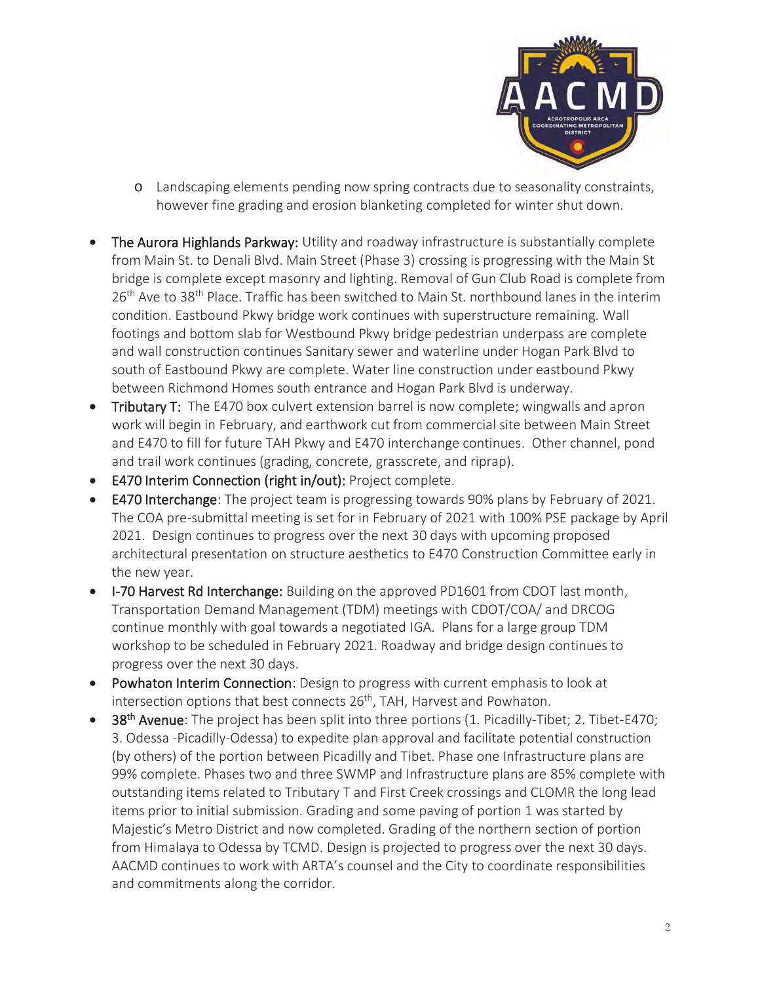

- o Landscaping elements pending now spring contracts due to seasonality constraints, however fine grading and erosion blanketing completed for winter shut down.
- The Aurora Highlands Parkway: Utility and roadway infrastructure is substantially complete from Main St. to Denali Blvd. Main Street (Phase 3) crossing is progressing with the Main St bridge is complete except masonry and lighting. Removal of Gun Club Road is complete from 26<sup>th</sup> Ave to 38<sup>th</sup> Place. Traffic has been switched to Main St. northbound lanes in the interim condition. Eastbound Pkwy bridge work continues with superstructure remaining. Wall footings and bottom slab for Westbound Pkwy bridge pedestrian underpass are complete and wall construction continues Sanitary sewer and waterline under Hogan Park Blvd to south of Eastbound Pkwy are complete. Water line construction under eastbound Pkwy between Richmond Homes south entrance and Hogan Park Blvd is underway.
- **Tributary T:** The E470 box culvert extension barrel is now complete; wingwalls and apron work will begin in February, and earthwork cut from commercial site between Main Street and E470 to fill for future TAH Pkwy and E470 interchange continues. Other channel, pond and trail work continues (grading, concrete, grasscrete, and riprap).
- E470 Interim Connection (right in/out): Project complete.
- E470 Interchange: The project team is progressing towards 90% plans by February of 2021. The COA pre-submittal meeting is set for in February of 2021 with 100% PSE package by April 2021. Design continues to progress over the next 30 days with upcoming proposed architectural presentation on structure aesthetics to E470 Construction Committee early in the new year.
- I-70 Harvest Rd Interchange: Building on the approved PD1601 from CDOT last month, Transportation Demand Management (TDM) meetings with CDOT/COA/ and DRCOG continue monthly with goal towards a negotiated IGA. Plans for a large group TDM workshop to be scheduled in February 2021. Roadway and bridge design continues to progress over the next 30 days.
- Powhaton Interim Connection: Design to progress with current emphasis to look at intersection options that best connects 26<sup>th</sup>, TAH, Harvest and Powhaton.
- 38<sup>th</sup> Avenue: The project has been split into three portions (1. Picadilly-Tibet; 2. Tibet-E470; 3. Odessa -Picadilly-Odessa) to expedite plan approval and facilitate potential construction (by others) of the portion between Picadilly and Tibet. Phase one Infrastructure plans are 99% complete. Phases two and three SWMP and Infrastructure plans are 85% complete with outstanding items related to Tributary T and First Creek crossings and CLOMR the long lead items prior to initial submission. Grading and some paving of portion 1 was started by Majestic's Metro District and now completed. Grading of the northern section of portion from Himalaya to Odessa by TCMD. Design is projected to progress over the next 30 days. AACMD continues to work with ARTA's counsel and the City to coordinate responsibilities and commitments along the corridor.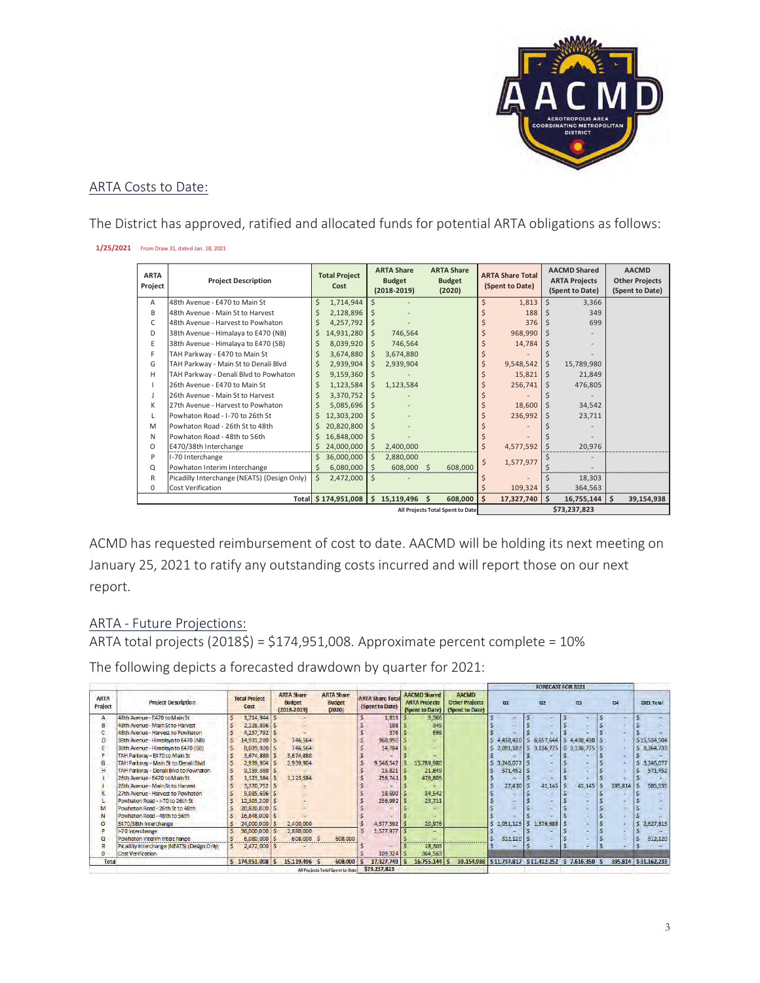

#### ARTA Costs to Date:

The District has approved, ratified and allocated funds for potential ARTA obligations as follows:

#### **1/25/2021** From Draw 31, dated Jan. 18, 2021

| <b>ARTA</b><br>Project | <b>Project Description</b>                  | <b>Total Project</b><br>Cost                     | <b>ARTA Share</b><br><b>Budget</b><br>$(2018 - 2019)$ | <b>ARTA Share</b><br><b>Budget</b><br>(2020) | <b>ARTA Share Total</b><br>(Spent to Date) | <b>AACMD Shared</b><br><b>ARTA Projects</b><br>(Spent to Date) | <b>AACMD</b><br><b>Other Projects</b><br>(Spent to Date) |  |  |  |
|------------------------|---------------------------------------------|--------------------------------------------------|-------------------------------------------------------|----------------------------------------------|--------------------------------------------|----------------------------------------------------------------|----------------------------------------------------------|--|--|--|
| A                      | 48th Avenue - E470 to Main St               | Ś.<br>1,714,944                                  | Ś.                                                    |                                              | Ś<br>1,813                                 | Ś<br>3,366                                                     |                                                          |  |  |  |
| B                      | 48th Avenue - Main St to Harvest            | 2,128,896                                        | Ŝ.                                                    |                                              | 188                                        | 349                                                            |                                                          |  |  |  |
| C                      | 48th Avenue - Harvest to Powhaton           | 4,257,792                                        | Ŝ.                                                    |                                              | 376                                        | 699                                                            |                                                          |  |  |  |
| D                      | 38th Avenue - Himalaya to E470 (NB)         | 14,931,280<br>Ś.                                 | 746,564<br>Ŝ.                                         |                                              | 968,990                                    |                                                                |                                                          |  |  |  |
| E                      | 38th Avenue - Himalaya to E470 (SB)         | 8,039,920<br>Ś                                   | 746,564<br>S                                          |                                              | 14,784                                     |                                                                |                                                          |  |  |  |
| F                      | TAH Parkway - E470 to Main St               | 3,674,880                                        | 3,674,880<br>S                                        |                                              |                                            |                                                                |                                                          |  |  |  |
| G                      | TAH Parkway - Main St to Denali Blvd        | 2,939,904                                        | 2,939,904                                             |                                              | 9,548,542                                  | Ś<br>15,789,980                                                |                                                          |  |  |  |
| H                      | TAH Parkway - Denali Blvd to Powhaton       | 9,159,360                                        |                                                       |                                              | $15,821$ \$                                | 21,849                                                         |                                                          |  |  |  |
| т                      | 26th Avenue - E470 to Main St               | 1,123,584                                        | 1,123,584<br>S                                        |                                              | $256,741$ \$                               | 476,805                                                        |                                                          |  |  |  |
| J.                     | 26th Avenue - Main St to Harvest            | 3,370,752                                        |                                                       |                                              |                                            |                                                                |                                                          |  |  |  |
| К                      | 27th Avenue - Harvest to Powhaton           | 5,085,696                                        |                                                       |                                              | 18,600                                     | 34,542                                                         |                                                          |  |  |  |
| L                      | Powhaton Road - I-70 to 26th St             | 12,303,200                                       |                                                       |                                              | 236,992                                    | 23,711                                                         |                                                          |  |  |  |
| M                      | Powhaton Road - 26th St to 48th             | 20,820,800<br>Ś.                                 | \$                                                    |                                              |                                            |                                                                |                                                          |  |  |  |
| N                      | Powhaton Road - 48th to 56th                | 16,848,000                                       | \$                                                    |                                              |                                            |                                                                |                                                          |  |  |  |
| $\circ$                | E470/38th Interchange                       | 24,000,000                                       | 2,400,000<br>S                                        |                                              | Ś<br>4,577,592                             | 20,976                                                         |                                                          |  |  |  |
| P                      | I-70 Interchange                            | Ś<br>36,000,000                                  | 2,880,000<br>S                                        |                                              | 1,577,977                                  |                                                                |                                                          |  |  |  |
| Q                      | Powhaton Interim Interchange                | 6,080,000<br>S                                   | $608,000$ \$<br>Ś.                                    | 608,000                                      |                                            |                                                                |                                                          |  |  |  |
| R                      | Picadilly Interchange (NEATS) (Design Only) | \$<br>2,472,000                                  | \$                                                    |                                              |                                            | 18,303                                                         |                                                          |  |  |  |
| 0                      | Cost Verification                           |                                                  |                                                       |                                              | 109,324                                    | 364,563<br><sup>\$</sup>                                       |                                                          |  |  |  |
|                        |                                             | Total \$174,951,008                              | Ś.<br>15,119,496                                      | 608,000<br>Ś.                                | Ś<br>17,327,740                            | -Ś<br>16,755,144                                               | l s<br>39,154,938                                        |  |  |  |
|                        |                                             | \$73,237,823<br>All Projects Total Spent to Date |                                                       |                                              |                                            |                                                                |                                                          |  |  |  |

ACMD has requested reimbursement of cost to date. AACMD will be holding its next meeting on January 25, 2021 to ratify any outstanding costs incurred and will report those on our next report.

#### ARTA - Future Projections:

ARTA total projects (2018\$) = \$174,951,008. Approximate percent complete = 10%

The following depicts a forecasted drawdown by quarter for 2021:

|                        |                                             |   |                              |  |                                                       |  |                                              |                                            |              |                                                                |            |                                                          | FUNEUASI FUN ZUZI                     |                |           |  |                    |  |         |                      |
|------------------------|---------------------------------------------|---|------------------------------|--|-------------------------------------------------------|--|----------------------------------------------|--------------------------------------------|--------------|----------------------------------------------------------------|------------|----------------------------------------------------------|---------------------------------------|----------------|-----------|--|--------------------|--|---------|----------------------|
| <b>ARTA</b><br>Project | <b>Project Description</b>                  |   | <b>Total Project</b><br>Cost |  | <b>ARTA Share</b><br><b>Budget</b><br>$(2018 - 2019)$ |  | <b>ARTA Share</b><br><b>Budget</b><br>(2020) | <b>ARTA Share Total</b><br>(Spent to Date) |              | <b>AACMD Shared</b><br><b>ARTA Projects</b><br>(Spent to Date) |            | <b>AACMD</b><br><b>Other Projects</b><br>(Spent to Date) | 01                                    | Q <sub>2</sub> |           |  | 03                 |  | Q4      | 2021 Total           |
| $\mathbf{A}$           | 48th Avenue - E470 to Main St               |   | 1,714,944                    |  |                                                       |  |                                              |                                            | 1,813        |                                                                | 3,366      |                                                          |                                       |                |           |  |                    |  |         |                      |
|                        | 48th Avenue - Main St to Harvest            |   | 2,128,896   \$               |  |                                                       |  |                                              |                                            | 188          |                                                                | 349        |                                                          |                                       |                |           |  |                    |  |         |                      |
|                        | 48th Avenue - Harvest to Powhaton           |   | 4,257,792   \$               |  |                                                       |  |                                              |                                            | 376          |                                                                | 699        |                                                          |                                       |                |           |  |                    |  |         |                      |
|                        | 38th Avenue - Himalaya to E470 (NB)         | s | 14,931,280   \$              |  | 746,564                                               |  |                                              |                                            | 968,990      |                                                                |            |                                                          | 4,438,430                             |                | 6,657,644 |  | 5 4,438,430 5      |  |         | \$15,534,504         |
|                        | 38th Avenue - Himalaya to E470 (SB)         | s | 8,039,920 5                  |  | 746,564                                               |  |                                              |                                            | 14,784       |                                                                |            |                                                          | 2,091,183                             |                | 3,136,775 |  | $S$ 3.136, 775 $S$ |  |         | 8,364,733            |
|                        | TAH Parkway - E470 to Main St               |   | 3,674,880                    |  | 3,674,880                                             |  |                                              |                                            |              |                                                                |            |                                                          |                                       |                |           |  |                    |  |         |                      |
|                        | TAH Parkway - Main St to Denali Blvd        |   | 2,939,904                    |  | 2,939,904                                             |  |                                              |                                            | 9.548.542    |                                                                | 15,789,980 |                                                          | 3,246,077                             |                |           |  |                    |  |         | 3,246,077            |
|                        | TAH Parkway - Denali Blvd to Powhaton       |   | $9,159,360$ \$               |  |                                                       |  |                                              |                                            | 15,821       |                                                                | 21,849     |                                                          | 571,452                               |                |           |  |                    |  |         | 571,452              |
|                        | 26th Avenue - E470 to Main St               |   | 1,123,584                    |  | 1,123,584                                             |  |                                              |                                            | 256,741      |                                                                | 476,805    |                                                          |                                       |                |           |  |                    |  |         |                      |
|                        | 26th Avenue - Main St to Harvest            |   | 3.370.752 S                  |  |                                                       |  |                                              |                                            |              |                                                                |            |                                                          | 27,430                                |                | 41,145    |  | 41,145             |  | 395.814 | 505,535              |
|                        | 27th Avenue - Harvest to Powhaton           |   | 5.085.696                    |  |                                                       |  |                                              |                                            | 18,600       |                                                                | 34,542     |                                                          |                                       |                |           |  |                    |  |         |                      |
|                        | Powhaton Road - I-70 to 26th St             |   | 12,303,200                   |  |                                                       |  |                                              |                                            | 236,992      |                                                                | 23,711     |                                                          |                                       |                |           |  |                    |  |         |                      |
|                        | Powhaton Road - 26th St to 48th             |   | 20.820.800                   |  |                                                       |  |                                              |                                            |              |                                                                |            |                                                          |                                       |                |           |  |                    |  |         |                      |
|                        | Powhaton Road - 48th to 56th                |   | 16,848,000                   |  |                                                       |  |                                              |                                            |              |                                                                |            |                                                          |                                       |                |           |  |                    |  |         |                      |
|                        | E470/38th Interchange                       |   | 24,000,000                   |  | 2,400,000                                             |  |                                              |                                            | 4,577,592    |                                                                | 20,976     |                                                          | 1,051,125                             |                | 1,576,688 |  |                    |  |         | 2,627,813            |
|                        | 1-70 Interchange                            |   | 36,000,000                   |  | 2,880,000                                             |  |                                              |                                            | 1,577,977    |                                                                | -          |                                                          |                                       |                |           |  |                    |  |         |                      |
|                        | Powhaton Interim Interchange                |   | 6,080,000                    |  | 608,000 \$                                            |  | 608.000                                      |                                            |              |                                                                |            |                                                          | 312,120                               |                |           |  |                    |  |         | 312,120              |
|                        | Picadilly Interchange (NEATS) (Design Only) |   | $2,472,000$ S                |  |                                                       |  |                                              |                                            |              |                                                                | 18,303     |                                                          |                                       |                |           |  |                    |  |         |                      |
|                        | Cost Verification                           |   |                              |  |                                                       |  |                                              |                                            | 109,324      |                                                                | 364,563    |                                                          |                                       |                |           |  |                    |  |         |                      |
| Total                  |                                             |   | \$174,951,008                |  | 15,119,496 S                                          |  | 608,000                                      |                                            | 17,327,740   |                                                                | 16,755,144 | 39,154,938                                               | S11,737,817 S11,412,252 S 7,616,350 S |                |           |  |                    |  |         | 395.814 \$31,162,233 |
|                        |                                             |   |                              |  |                                                       |  | All Projects Total Spent to Date             |                                            | \$73,237,823 |                                                                |            |                                                          |                                       |                |           |  |                    |  |         |                      |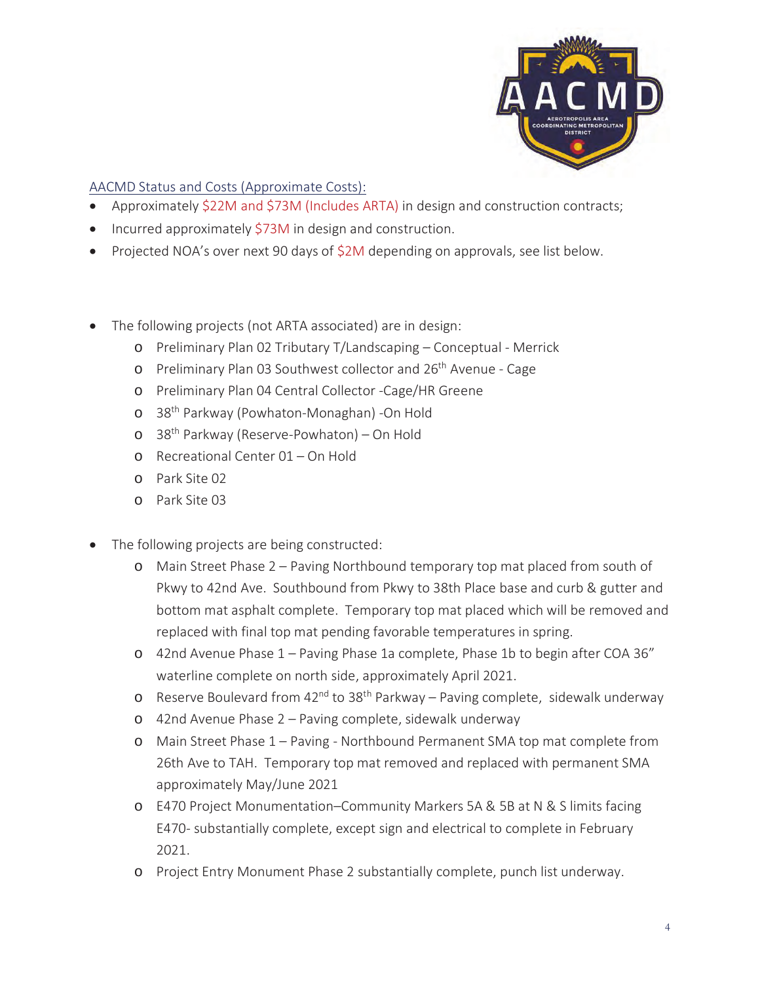

#### AACMD Status and Costs (Approximate Costs):

- Approximately \$22M and \$73M (Includes ARTA) in design and construction contracts;
- $\bullet$  Incurred approximately \$73M in design and construction.
- Projected NOA's over next 90 days of \$2M depending on approvals, see list below.
- The following projects (not ARTA associated) are in design:
	- o Preliminary Plan 02 Tributary T/Landscaping Conceptual Merrick
	- o Preliminary Plan 03 Southwest collector and 26<sup>th</sup> Avenue Cage
	- o Preliminary Plan 04 Central Collector -Cage/HR Greene
	- o 38th Parkway (Powhaton-Monaghan) -On Hold
	- o 38th Parkway (Reserve-Powhaton) On Hold
	- o Recreational Center 01 On Hold
	- o Park Site 02
	- o Park Site 03
- The following projects are being constructed:
	- o Main Street Phase 2 Paving Northbound temporary top mat placed from south of Pkwy to 42nd Ave. Southbound from Pkwy to 38th Place base and curb & gutter and bottom mat asphalt complete. Temporary top mat placed which will be removed and replaced with final top mat pending favorable temperatures in spring.
	- o 42nd Avenue Phase 1 Paving Phase 1a complete, Phase 1b to begin after COA 36" waterline complete on north side, approximately April 2021.
	- o Reserve Boulevard from  $42^{nd}$  to  $38^{th}$  Parkway Paving complete, sidewalk underway
	- o 42nd Avenue Phase 2 Paving complete, sidewalk underway
	- o Main Street Phase 1 Paving Northbound Permanent SMA top mat complete from 26th Ave to TAH. Temporary top mat removed and replaced with permanent SMA approximately May/June 2021
	- o E470 Project Monumentation–Community Markers 5A & 5B at N & S limits facing E470- substantially complete, except sign and electrical to complete in February 2021.
	- o Project Entry Monument Phase 2 substantially complete, punch list underway.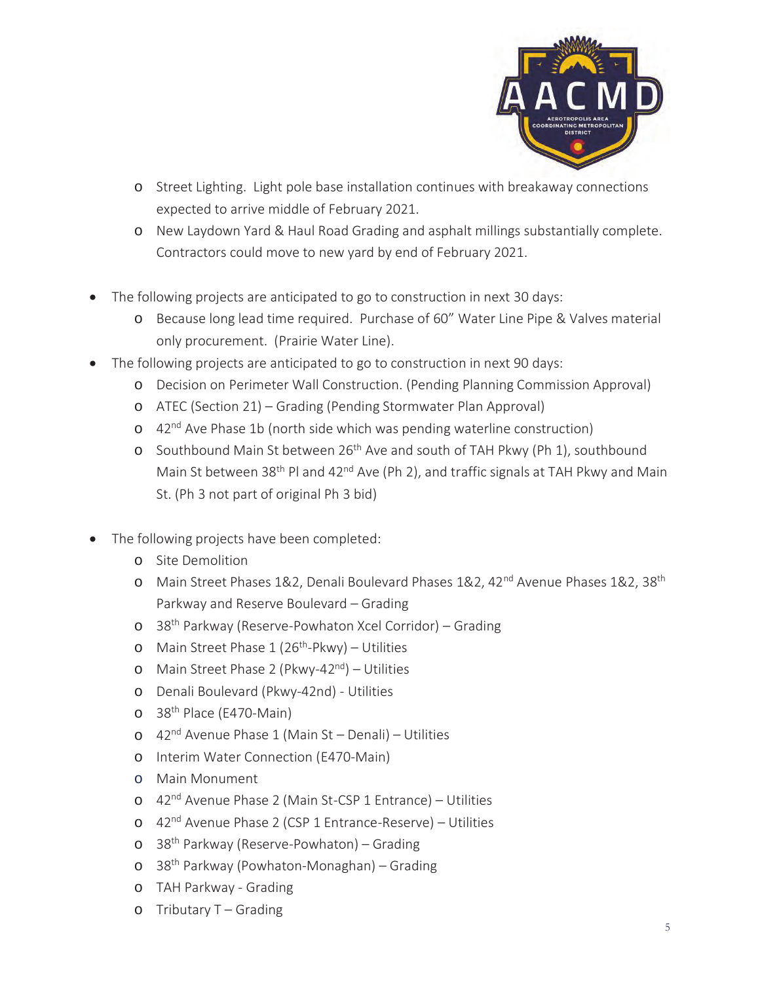

- o Street Lighting. Light pole base installation continues with breakaway connections expected to arrive middle of February 2021.
- o New Laydown Yard & Haul Road Grading and asphalt millings substantially complete. Contractors could move to new yard by end of February 2021.
- The following projects are anticipated to go to construction in next 30 days:
	- o Because long lead time required. Purchase of 60" Water Line Pipe & Valves material only procurement. (Prairie Water Line).
- The following projects are anticipated to go to construction in next 90 days:
	- o Decision on Perimeter Wall Construction. (Pending Planning Commission Approval)
	- o ATEC (Section 21) Grading (Pending Stormwater Plan Approval)
	- o 42<sup>nd</sup> Ave Phase 1b (north side which was pending waterline construction)
	- o Southbound Main St between 26<sup>th</sup> Ave and south of TAH Pkwy (Ph 1), southbound Main St between 38<sup>th</sup> Pl and 42<sup>nd</sup> Ave (Ph 2), and traffic signals at TAH Pkwy and Main St. (Ph 3 not part of original Ph 3 bid)
- The following projects have been completed:
	- o Site Demolition
	- o Main Street Phases 1&2, Denali Boulevard Phases 1&2, 42<sup>nd</sup> Avenue Phases 1&2, 38<sup>th</sup> Parkway and Reserve Boulevard – Grading
	- o 38th Parkway (Reserve-Powhaton Xcel Corridor) Grading
	- o Main Street Phase  $1(26<sup>th</sup>-Pkwy) Utilities$
	- o Main Street Phase 2 (Pkwy-42<sup>nd</sup>) Utilities
	- o Denali Boulevard (Pkwy-42nd) Utilities
	- o 38<sup>th</sup> Place (E470-Main)
	- $\circ$  42<sup>nd</sup> Avenue Phase 1 (Main St Denali) Utilities
	- o Interim Water Connection (E470-Main)
	- o Main Monument
	- o 42nd Avenue Phase 2 (Main St-CSP 1 Entrance) Utilities
	- o 42nd Avenue Phase 2 (CSP 1 Entrance-Reserve) Utilities
	- o 38th Parkway (Reserve-Powhaton) Grading
	- o 38th Parkway (Powhaton-Monaghan) Grading
	- o TAH Parkway Grading
	- $\circ$  Tributary T Grading